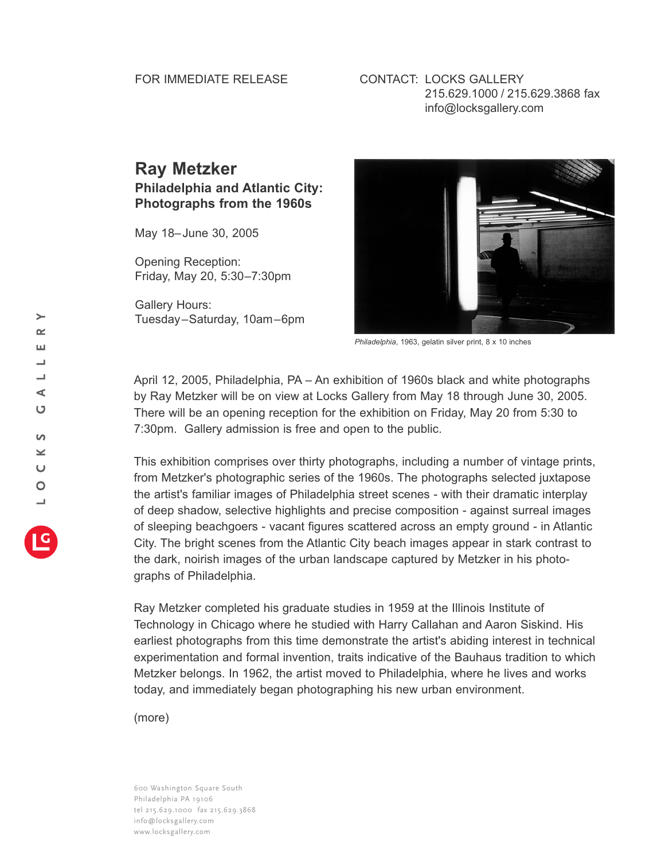## FOR IMMEDIATE RELEASE

## CONTACT: LOCKS GALLERY 215.629.1000 / 215.629.3868 fax info@locksgallery.com

## **Ray Metzker Philadelphia and Atlantic City: Photographs from the 1960s**

May 18–June 30, 2005

Opening Reception: Friday, May 20, 5:30–7:30pm

Gallery Hours: Tuesday–Saturday, 10am–6pm



*Philadelphia*, 1963, gelatin silver print, 8 x 10 inches

April 12, 2005, Philadelphia, PA – An exhibition of 1960s black and white photographs by Ray Metzker will be on view at Locks Gallery from May 18 through June 30, 2005. There will be an opening reception for the exhibition on Friday, May 20 from 5:30 to 7:30pm. Gallery admission is free and open to the public.

This exhibition comprises over thirty photographs, including a number of vintage prints, from Metzker's photographic series of the 1960s. The photographs selected juxtapose the artist's familiar images of Philadelphia street scenes - with their dramatic interplay of deep shadow, selective highlights and precise composition - against surreal images of sleeping beachgoers - vacant figures scattered across an empty ground - in Atlantic City. The bright scenes from the Atlantic City beach images appear in stark contrast to the dark, noirish images of the urban landscape captured by Metzker in his photographs of Philadelphia.

Ray Metzker completed his graduate studies in 1959 at the Illinois Institute of Technology in Chicago where he studied with Harry Callahan and Aaron Siskind. His earliest photographs from this time demonstrate the artist's abiding interest in technical experimentation and formal invention, traits indicative of the Bauhaus tradition to which Metzker belongs. In 1962, the artist moved to Philadelphia, where he lives and works today, and immediately began photographing his new urban environment.

(more)

600 Washington Square South Philadelphia PA 19106 tel 215.629.1000 fax 215.629.3868 info@locksgallery.com www.locksgallery.com